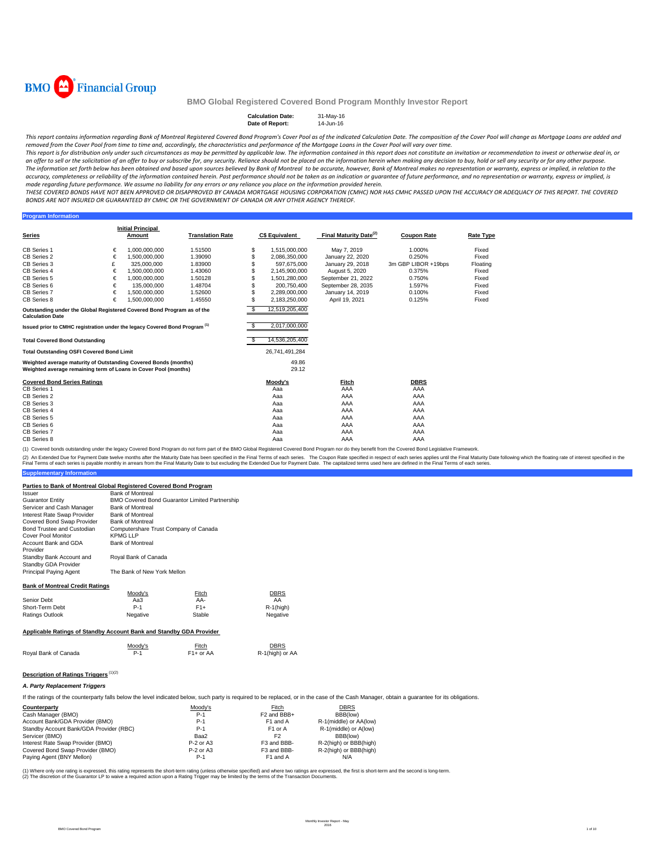

#### **Calculation Date:** 31-May-16<br> **Date of Report:** 14-Jun-16 **Date of Report:**

This report contains information regarding Bank of Montreal Registered Covered Bond Program's Cover Pool as of the indicated Calculation Date. The composition of the Cover Pool will change as Mortgage Loans are added and removed from the Cover Pool from time to time and, accordinaly, the characteristics and performance of the Mortgage Loans in the Cover Pool will vary over time.

This report is for distribution only under such circumstances as may be permitted by applicable law. The information contained in this report does not constitute an invitation or recommendation to invest or otherwise deal an offer to sell or the solicitation of an offer to buy or subscribe for, any security. Reliance should not be placed on the information herein when making any decision to buy, hold or sell any security or for any other pu The information set forth below has been obtained and based upon sources believed by Bank of Montreal to be accurate, however, Bank of Montreal makes no representation or warranty, express or implied, in relation to the accuracy, completeness or reliability of the information contained herein. Past performance should not be taken as an indication or guarantee of future performance, and no representation or warranty, express or implied, is made regarding future performance. We assume no liability for any errors or any reliance you place on the information provided herein.

THESE COVERED BONDS HAVE NOT BEEN APPROVED OR DISAPPROVED BY CANADA MORTGAGE HOUSING CORPORATION (CMHC) NOR HAS CMHC PASSED UPON THE ACCURACY OR ADEQUACY OF THIS REPORT. THE COVERED BONDS ARE NOT INSURED OR GUARANTEED BY CMHC OR THE GOVERNMENT OF CANADA OR ANY OTHER AGENCY THEREOF.

#### **Program Informati**

|                                                                                        |   | <b>Initial Principal</b> |                         |     |                       |                                    |                     |                  |
|----------------------------------------------------------------------------------------|---|--------------------------|-------------------------|-----|-----------------------|------------------------------------|---------------------|------------------|
| Series                                                                                 |   | Amount                   | <b>Translation Rate</b> |     | <b>C\$ Equivalent</b> | Final Maturity Date <sup>(2)</sup> | <b>Coupon Rate</b>  | <b>Rate Type</b> |
| CB Series 1                                                                            | € | 1.000.000.000            | 1.51500                 | \$  | 1,515,000,000         | May 7, 2019                        | 1.000%              | Fixed            |
| CB Series 2                                                                            | € | 1.500.000.000            | 1.39090                 |     | 2,086,350,000         | January 22, 2020                   | 0.250%              | Fixed            |
| CB Series 3                                                                            | £ | 325,000,000              | 1.83900                 |     | 597.675.000           | January 29, 2018                   | 3m GBP LIBOR +19bps | Floating         |
| CB Series 4                                                                            | € | 1.500.000.000            | 1.43060                 |     | 2,145,900,000         | August 5, 2020                     | 0.375%              | Fixed            |
| CB Series 5                                                                            | € | 1.000.000.000            | 1.50128                 |     | 1,501,280,000         | September 21, 2022                 | 0.750%              | Fixed            |
| CB Series 6                                                                            | € | 135,000,000              | 1.48704                 |     | 200.750.400           | September 28, 2035                 | 1.597%              | Fixed            |
| CB Series 7                                                                            | € | 1.500.000.000            | 1.52600                 | \$  | 2.289.000.000         | January 14, 2019                   | 0.100%              | Fixed            |
| CB Series 8                                                                            | € | 1.500.000.000            | 1.45550                 | \$  |                       | April 19, 2021                     | 0.125%              | Fixed            |
|                                                                                        |   |                          |                         |     | 2,183,250,000         |                                    |                     |                  |
| Outstanding under the Global Registered Covered Bond Program as of the                 |   |                          |                         | \$  | 12,519,205,400        |                                    |                     |                  |
| <b>Calculation Date</b>                                                                |   |                          |                         |     |                       |                                    |                     |                  |
| Issued prior to CMHC registration under the legacy Covered Bond Program <sup>(1)</sup> |   |                          |                         | \$  | 2,017,000,000         |                                    |                     |                  |
|                                                                                        |   |                          |                         |     |                       |                                    |                     |                  |
| <b>Total Covered Bond Outstanding</b>                                                  |   |                          |                         | \$. | 14,536,205,400        |                                    |                     |                  |
| <b>Total Outstanding OSFI Covered Bond Limit</b>                                       |   |                          |                         |     | 26.741.491.284        |                                    |                     |                  |
| Weighted average maturity of Outstanding Covered Bonds (months)                        |   |                          |                         |     | 49.86                 |                                    |                     |                  |
| Weighted average remaining term of Loans in Cover Pool (months)                        |   |                          |                         |     | 29.12                 |                                    |                     |                  |
|                                                                                        |   |                          |                         |     |                       |                                    |                     |                  |
| <b>Covered Bond Series Ratings</b>                                                     |   |                          |                         |     | Moody's               | Fitch                              | <b>DBRS</b>         |                  |
| CB Series 1                                                                            |   |                          |                         |     | Aaa                   | AAA                                | AAA                 |                  |
| CB Series 2                                                                            |   |                          |                         |     | Aaa                   | AAA                                | AAA                 |                  |
| CB Series 3                                                                            |   |                          |                         |     | Aaa                   | AAA                                | AAA                 |                  |
| CB Series 4                                                                            |   |                          |                         |     | Aaa                   | AAA                                | AAA                 |                  |
| CB Series 5                                                                            |   |                          |                         |     | Aaa                   | AAA                                | AAA                 |                  |
| CB Series 6                                                                            |   |                          |                         |     | Aaa                   | AAA                                | AAA                 |                  |
| CB Series 7                                                                            |   |                          |                         |     | Aaa                   | AAA                                | AAA                 |                  |
| CB Series 8                                                                            |   |                          |                         |     | Aaa                   | AAA                                | AAA                 |                  |

(1) Covered bonds outstanding under the legacy Covered Bond Program do not form part of the BMO Global Registered Covered Bond Program nor do they benefit from the Covered Bond Legislative Framework.

**Supplementary Infor** (2) An Extended Due for Payment Date twelve months after the Maturity Date has been specified in the Final Terms of each series. The Coupon Rate specified in the float has been but excluding the Extended Due for Payment Da

#### **Parties to Bank of Montreal Global Registered Covered Bond Program**

| <i><b>Issuer</b></i>                             | <b>Bank of Montreal</b>        |                                                |             |  |  |  |  |
|--------------------------------------------------|--------------------------------|------------------------------------------------|-------------|--|--|--|--|
| <b>Guarantor Entity</b>                          |                                | BMO Covered Bond Guarantor Limited Partnership |             |  |  |  |  |
| Servicer and Cash Manager                        | <b>Bank of Montreal</b>        |                                                |             |  |  |  |  |
| Interest Rate Swap Provider                      | <b>Bank of Montreal</b>        |                                                |             |  |  |  |  |
| Covered Bond Swap Provider                       | <b>Bank of Montreal</b>        |                                                |             |  |  |  |  |
| Bond Trustee and Custodian                       |                                | Computershare Trust Company of Canada          |             |  |  |  |  |
| Cover Pool Monitor                               | <b>KPMG LLP</b>                |                                                |             |  |  |  |  |
| Account Bank and GDA<br>Provider                 | <b>Bank of Montreal</b>        |                                                |             |  |  |  |  |
| Standby Bank Account and<br>Standby GDA Provider | Royal Bank of Canada           |                                                |             |  |  |  |  |
| Principal Paying Agent                           | The Bank of New York Mellon    |                                                |             |  |  |  |  |
| <b>Bank of Montreal Credit Ratings</b>           |                                |                                                |             |  |  |  |  |
|                                                  | Moody's                        | Fitch                                          | <b>DBRS</b> |  |  |  |  |
| Senior Debt                                      | Aa3                            | AA-                                            | AA          |  |  |  |  |
| Short-Term Debt                                  | $F1+$<br>$P-1$<br>$R-1$ (high) |                                                |             |  |  |  |  |
| <b>Ratings Outlook</b>                           | Negative<br>Stable<br>Negative |                                                |             |  |  |  |  |

#### **Applicable Ratings of Standby Account Bank and Standby GDA Provider**

|                      | Moody's | <b>Fitch</b> | <b>DBRS</b>     |
|----------------------|---------|--------------|-----------------|
| Royal Bank of Canada | P-1     | $F1+$ or AA  | R-1(high) or AA |

## **Description of Ratings Triggers** (1)(2)

#### *A. Party Replacement Triggers*

If the ratings of the counterparty falls below the level indicated below, such party is required to be replaced, or in the case of the Cash Manager, obtain a guarantee for its obligations.

| Counterparty                            | Moodv's     | Fitch                   | <b>DBRS</b>            |
|-----------------------------------------|-------------|-------------------------|------------------------|
| Cash Manager (BMO)                      | $P-1$       | F <sub>2</sub> and BBB+ | BBB(low)               |
| Account Bank/GDA Provider (BMO)         | $P-1$       | F <sub>1</sub> and A    | R-1(middle) or AA(low) |
| Standby Account Bank/GDA Provider (RBC) | $P-1$       | F <sub>1</sub> or A     | R-1(middle) or A(low)  |
| Servicer (BMO)                          | Baa2        | F <sub>2</sub>          | BBB(low)               |
| Interest Rate Swap Provider (BMO)       | $P-2$ or A3 | F3 and BBB-             | R-2(high) or BBB(high) |
| Covered Bond Swap Provider (BMO)        | $P-2$ or A3 | F3 and BBB-             | R-2(high) or BBB(high) |
| Paying Agent (BNY Mellon)               | $P-1$       | F1 and A                | N/A                    |

(1) Where only one rating is expressed, this rating represents the short-term rating (unless othevaise specified) and where two ratings are expressed, the first is short-term and the second is long-term.<br>(2) The discretion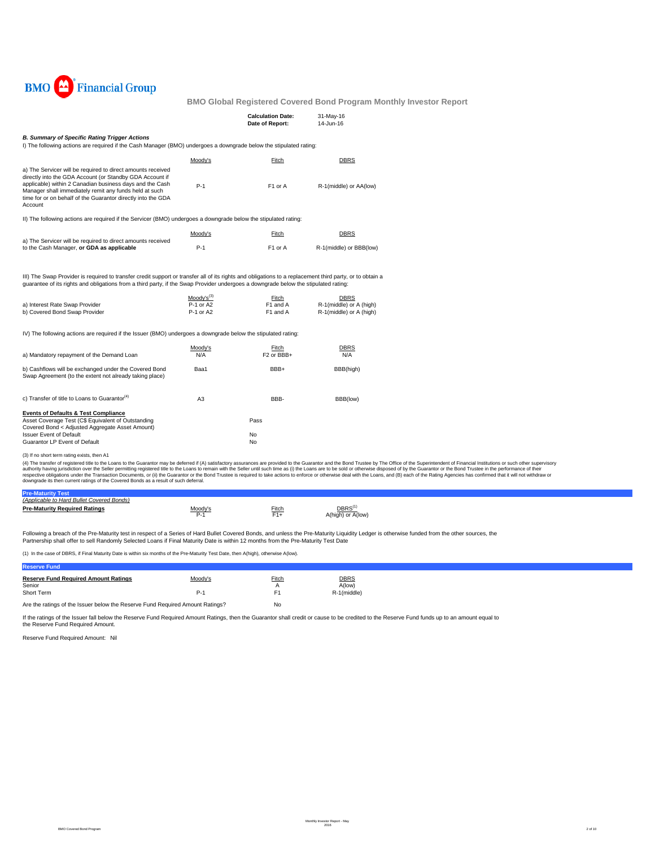

|                                                                                                                                                                                                                                                                                                                          |                                            | <b>Calculation Date:</b><br>Date of Report: | 31-May-16<br>14-Jun-16                                     |  |
|--------------------------------------------------------------------------------------------------------------------------------------------------------------------------------------------------------------------------------------------------------------------------------------------------------------------------|--------------------------------------------|---------------------------------------------|------------------------------------------------------------|--|
| <b>B. Summary of Specific Rating Trigger Actions</b>                                                                                                                                                                                                                                                                     |                                            |                                             |                                                            |  |
| I) The following actions are required if the Cash Manager (BMO) undergoes a downgrade below the stipulated rating:                                                                                                                                                                                                       |                                            |                                             |                                                            |  |
|                                                                                                                                                                                                                                                                                                                          | Moody's                                    | Fitch                                       | <b>DBRS</b>                                                |  |
| a) The Servicer will be required to direct amounts received<br>directly into the GDA Account (or Standby GDA Account if<br>applicable) within 2 Canadian business days and the Cash<br>Manager shall immediately remit any funds held at such<br>time for or on behalf of the Guarantor directly into the GDA<br>Account | $P-1$                                      | F1 or A                                     | R-1(middle) or AA(low)                                     |  |
| II) The following actions are required if the Servicer (BMO) undergoes a downgrade below the stipulated rating:                                                                                                                                                                                                          |                                            |                                             |                                                            |  |
|                                                                                                                                                                                                                                                                                                                          | Moody's                                    | <b>Fitch</b>                                | <b>DBRS</b>                                                |  |
| a) The Servicer will be required to direct amounts received                                                                                                                                                                                                                                                              |                                            |                                             |                                                            |  |
| to the Cash Manager, or GDA as applicable                                                                                                                                                                                                                                                                                | $P-1$                                      | F1 or A                                     | R-1(middle) or BBB(low)                                    |  |
| guarantee of its rights and obligations from a third party, if the Swap Provider undergoes a downgrade below the stipulated rating:<br>a) Interest Rate Swap Provider<br>b) Covered Bond Swap Provider<br>IV) The following actions are required if the Issuer (BMO) undergoes a downgrade below the stipulated rating:  | $Mody's^{(3)}$<br>$P-1$ or A2<br>P-1 or A2 | Fitch<br>F1 and A<br>F1 and A               | DBRS<br>R-1(middle) or A (high)<br>R-1(middle) or A (high) |  |
|                                                                                                                                                                                                                                                                                                                          | Moody's                                    | Fitch                                       | DBRS                                                       |  |
| a) Mandatory repayment of the Demand Loan                                                                                                                                                                                                                                                                                | N/A                                        | F <sub>2</sub> or BBB+                      | N/A                                                        |  |
| b) Cashflows will be exchanged under the Covered Bond<br>Swap Agreement (to the extent not already taking place)                                                                                                                                                                                                         | Baa1                                       | BBB+                                        | BBB(high)                                                  |  |
| c) Transfer of title to Loans to Guarantor <sup>(4)</sup>                                                                                                                                                                                                                                                                | A <sub>3</sub>                             | BBB-                                        | BBB(low)                                                   |  |
| <b>Events of Defaults &amp; Test Compliance</b><br>Asset Coverage Test (C\$ Equivalent of Outstanding<br>Covered Bond < Adjusted Aggregate Asset Amount)<br><b>Issuer Event of Default</b><br>Guarantor LP Event of Default                                                                                              |                                            | Pass<br>No<br>No                            |                                                            |  |
| (3) If no short term rating exists, then A1<br>(4) The transfer of registered title to the Loans to the Guarantor may be deferred if (A) satisfactory assurances are provided to the Guarantor and the Bond Trustee by The Office of the Superinter                                                                      |                                            |                                             |                                                            |  |

(3) If no short term rating exists, then A1<br>(4) The transfer of registered title to the Luam to the Guarantor may be deferred if (A) satisfactory assurances are provided to the Guarantor and the Bond Trustee by The Office

| <b>Pre-Maturity Test</b>                  |                |                |                                          |
|-------------------------------------------|----------------|----------------|------------------------------------------|
| (Applicable to Hard Bullet Covered Bonds) |                |                |                                          |
| <b>Pre-Maturity Required Ratings</b>      | loody's<br>P-1 | Fitch<br>$F1+$ | DBRS <sup>(1)</sup><br>A(high) or A(low) |
|                                           |                |                |                                          |

Following a breach of the Pre-Maturity test in respect of a Series of Hard Bullet Covered Bonds, and unless the Pre-Maturity Liquidity Ledger is otherwise funded from the other sources, the Partnership shall offer to sell Randomly Selected Loans if Final Maturity Date is within 12 months from the Pre-Maturity Test Date

(1) In the case of DBRS, if Final Maturity Date is within six months of the Pre-Maturity Test Date, then A(high), otherwise A(low).

| <b>Reserve Fund</b>                                                           |         |              |                       |
|-------------------------------------------------------------------------------|---------|--------------|-----------------------|
| <b>Reserve Fund Required Amount Ratings</b><br>Senior                         | Moody's | <b>Fitch</b> | <b>DBRS</b><br>A(low) |
| Short Term                                                                    | P-1     | F1           | R-1(middle)           |
| Are the ratings of the Issuer below the Reserve Fund Required Amount Ratings? | No      |              |                       |

If the ratings of the Issuer fall below the Reserve Fund Required Amount Ratings, then the Guarantor shall credit or cause to be credited to the Reserve Fund funds up to an amount equal to<br>the Reserve Fund Required Amount.

Reserve Fund Required Amount: Nil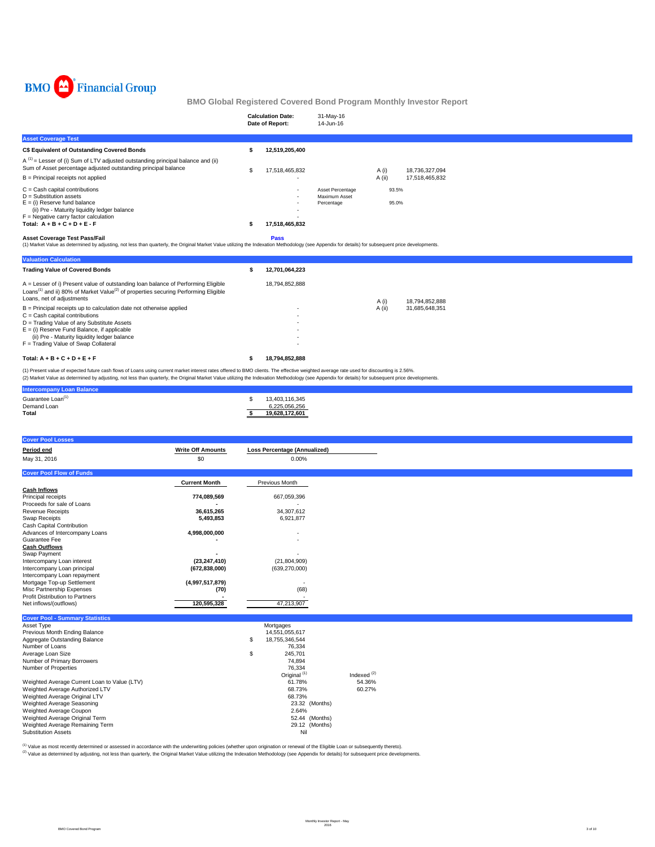

|                                                                                                                                                                                                                                                                                                                                                                                                                                                                                                                                | <b>Calculation Date:</b><br>Date of Report: | 31-May-16<br>14-Jun-16                          |                   |                                  |  |  |  |
|--------------------------------------------------------------------------------------------------------------------------------------------------------------------------------------------------------------------------------------------------------------------------------------------------------------------------------------------------------------------------------------------------------------------------------------------------------------------------------------------------------------------------------|---------------------------------------------|-------------------------------------------------|-------------------|----------------------------------|--|--|--|
| <b>Asset Coverage Test</b>                                                                                                                                                                                                                                                                                                                                                                                                                                                                                                     |                                             |                                                 |                   |                                  |  |  |  |
| C\$ Equivalent of Outstanding Covered Bonds                                                                                                                                                                                                                                                                                                                                                                                                                                                                                    | 12.519.205.400                              |                                                 |                   |                                  |  |  |  |
| $A^{(1)}$ = Lesser of (i) Sum of LTV adjusted outstanding principal balance and (ii)<br>Sum of Asset percentage adjusted outstanding principal balance<br>B = Principal receipts not applied                                                                                                                                                                                                                                                                                                                                   | 17,518,465,832                              |                                                 | A (i)<br>$A$ (ii) | 18,736,327,094<br>17,518,465,832 |  |  |  |
| $C =$ Cash capital contributions<br>$D =$ Substitution assets<br>$E =$ (i) Reserve fund balance<br>(ii) Pre - Maturity liquidity ledger balance<br>$F =$ Negative carry factor calculation<br>Total: $A + B + C + D + E - F$                                                                                                                                                                                                                                                                                                   | 17,518,465,832                              | Asset Percentage<br>Maximum Asset<br>Percentage | 93.5%<br>95.0%    |                                  |  |  |  |
| <b>Asset Coverage Test Pass/Fail</b><br>(1) Market Value as determined by adjusting, not less than quarterly, the Original Market Value utilizing the Indexation Methodology (see Appendix for details) for subsequent price developments.<br><b>Valuation Calculation</b>                                                                                                                                                                                                                                                     | Pass                                        |                                                 |                   |                                  |  |  |  |
| <b>Trading Value of Covered Bonds</b>                                                                                                                                                                                                                                                                                                                                                                                                                                                                                          | 12,701,064,223                              |                                                 |                   |                                  |  |  |  |
| A = Lesser of i) Present value of outstanding loan balance of Performing Eligible<br>Loans <sup>(1)</sup> and ii) 80% of Market Value <sup>(2)</sup> of properties securing Performing Eligible<br>Loans, net of adjustments<br>B = Principal receipts up to calculation date not otherwise applied<br>$C =$ Cash capital contributions<br>D = Trading Value of any Substitute Assets<br>$E = (i)$ Reserve Fund Balance, if applicable<br>(ii) Pre - Maturity liquidity ledger balance<br>F = Trading Value of Swap Collateral | 18,794,852,888                              |                                                 | A (i)<br>A (ii)   | 18.794.852.888<br>31.685.648.351 |  |  |  |
| Total: $A + B + C + D + E + F$                                                                                                                                                                                                                                                                                                                                                                                                                                                                                                 | 18,794,852,888                              |                                                 |                   |                                  |  |  |  |
| (1) Present value of expected future cash flows of Loans using current market interest rates offered to BMO clients. The effective weighted average rate used for discounting is 2.56%.<br>(2) Market Value as determined by adjusting, not less than quarterly, the Original Market Value utilizing the Indexation Methodology (see Appendix for details) for subsequent price developments.                                                                                                                                  |                                             |                                                 |                   |                                  |  |  |  |

| Intercompa                    |                          |
|-------------------------------|--------------------------|
| Guarantee Loan <sup>(1)</sup> | .116.345<br><b>2 YUS</b> |
| Demand Loan                   | 225.056.256              |
| <b>Total</b>                  | ∗60.≀                    |

| <b>Cover Pool Losses</b>        |                          |                                     |
|---------------------------------|--------------------------|-------------------------------------|
| Period end                      | <b>Write Off Amounts</b> | <b>Loss Percentage (Annualized)</b> |
| May 31, 2016                    | \$0                      | 0.00%                               |
| <b>Cover Pool Flow of Funds</b> |                          |                                     |
|                                 | <b>Current Month</b>     | Previous Month                      |
| <b>Cash Inflows</b>             |                          |                                     |
| Principal receipts              | 774,089,569              | 667,059,396                         |
| Proceeds for sale of Loans      |                          |                                     |
| <b>Revenue Receipts</b>         | 36,615,265               | 34,307,612                          |
| Swap Receipts                   | 5,493,853                | 6,921,877                           |
| Cash Capital Contribution       |                          |                                     |
| Advances of Intercompany Loans  | 4,998,000,000            | $\overline{\phantom{a}}$            |
| Guarantee Fee                   |                          |                                     |
| <b>Cash Outflows</b>            |                          |                                     |
| Swap Payment                    |                          |                                     |
| Intercompany Loan interest      | (23, 247, 410)           | (21, 804, 909)                      |
| Intercompany Loan principal     | (672, 838, 000)          | (639, 270, 000)                     |
| Intercompany Loan repayment     |                          |                                     |
| Mortgage Top-up Settlement      | (4,997,517,879)          |                                     |
| Misc Partnership Expenses       | (70)                     | (68)                                |
| Profit Distribution to Partners |                          |                                     |
| Net inflows/(outflows)          | 120,595,328              | 47,213,907                          |
|                                 |                          |                                     |

| <b>Cover Pool - Summary Statistics</b>       |    |                         |               |
|----------------------------------------------|----|-------------------------|---------------|
| Asset Type                                   |    | Mortgages               |               |
| Previous Month Ending Balance                |    | 14,551,055,617          |               |
| Aggregate Outstanding Balance                | S  | 18.755.346.544          |               |
| Number of Loans                              |    | 76.334                  |               |
| Average Loan Size                            | \$ | 245.701                 |               |
| Number of Primary Borrowers                  |    | 74.894                  |               |
| Number of Properties                         |    | 76.334                  |               |
|                                              |    | Original <sup>(1)</sup> | Indexed $(2)$ |
| Weighted Average Current Loan to Value (LTV) |    | 61.78%                  | 54.36%        |
| Weighted Average Authorized LTV              |    | 68.73%                  | 60.27%        |
| Weighted Average Original LTV                |    | 68.73%                  |               |
| Weighted Average Seasoning                   |    | 23.32 (Months)          |               |
| Weighted Average Coupon                      |    | 2.64%                   |               |
| Weighted Average Original Term               |    | 52.44 (Months)          |               |
| Weighted Average Remaining Term              |    | 29.12 (Months)          |               |
| <b>Substitution Assets</b>                   |    | Nil                     |               |

<sup>(1)</sup> Value as most recently determined or assessed in accordance with the underwriting policies (whether upon origination or renewal of the Eligible Loan or subsequently thereto).<br><sup>(2)</sup> Value as determined by adjusting, n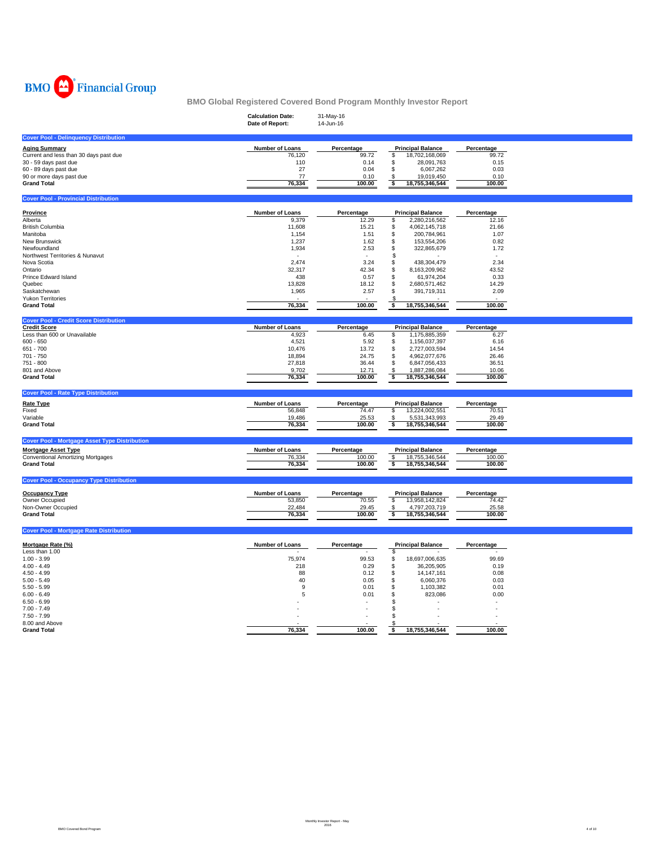

|                                                      | <b>Calculation Date:</b> | 31-May-16       |                                             |                 |  |
|------------------------------------------------------|--------------------------|-----------------|---------------------------------------------|-----------------|--|
|                                                      | Date of Report:          | 14-Jun-16       |                                             |                 |  |
| <b>Cover Pool - Delinquency Distribution</b>         |                          |                 |                                             |                 |  |
| <b>Aging Summary</b>                                 | Number of Loans          | Percentage      | <b>Principal Balance</b>                    | Percentage      |  |
| Current and less than 30 days past due               | 76.120                   | 99.72           | 18,702,168,069<br>\$                        | 99.72           |  |
| 30 - 59 days past due                                | 110                      | 0.14            | \$<br>28,091,763                            | 0.15            |  |
| 60 - 89 days past due                                | 27                       | 0.04            | $\mathsf{\$}$<br>6,067,262                  | 0.03            |  |
| 90 or more days past due                             | 77                       | 0.10            | 19,019,450<br>\$                            | 0.10            |  |
| <b>Grand Total</b>                                   | 76,334                   | 100.00          | \$<br>18,755,346,544                        | 100.00          |  |
| <b>Cover Pool - Provincial Distribution</b>          |                          |                 |                                             |                 |  |
|                                                      |                          |                 |                                             |                 |  |
| Province                                             | <b>Number of Loans</b>   | Percentage      | <b>Principal Balance</b>                    | Percentage      |  |
| Alberta                                              | 9,379                    | 12.29           | \$<br>2,280,216,562                         | 12.16           |  |
| <b>British Columbia</b>                              | 11,608                   | 15.21           | \$<br>4,062,145,718                         | 21.66           |  |
| Manitoba                                             | 1,154                    | 1.51            | \$<br>200,784,961                           | 1.07            |  |
| New Brunswick                                        | 1,237                    | 1.62            | \$<br>153,554,206                           | 0.82            |  |
| Newfoundland<br>Northwest Territories & Nunavut      | 1,934                    | 2.53            | \$<br>322,865,679<br>S                      | 1.72            |  |
| Nova Scotia                                          | 2,474                    | 3.24            | \$<br>438,304,479                           | 2.34            |  |
| Ontario                                              | 32,317                   | 42.34           | \$                                          | 43.52           |  |
| Prince Edward Island                                 | 438                      | 0.57            | 8,163,209,962<br>\$<br>61,974,204           | 0.33            |  |
| Quebec                                               |                          |                 |                                             |                 |  |
| Saskatchewan                                         | 13,828<br>1,965          | 18.12           | 2,680,571,462<br>\$<br>\$                   | 14.29           |  |
| <b>Yukon Territories</b>                             |                          | 2.57            | 391,719,311<br>S                            | 2.09            |  |
|                                                      | 76,334                   | 100.00          | 18,755,346,544<br>\$                        | 100.00          |  |
| <b>Grand Total</b>                                   |                          |                 |                                             |                 |  |
| <b>Cover Pool - Credit Score Distribution</b>        |                          |                 |                                             |                 |  |
| <b>Credit Score</b>                                  | Number of Loans          | Percentage      | <b>Principal Balance</b>                    | Percentage      |  |
| Less than 600 or Unavailable                         | 4,923                    | 6.45            | 1,175,885,359<br>\$                         | 6.27            |  |
| $600 - 650$                                          | 4,521                    | 5.92            | \$<br>1,156,037,397                         | 6.16            |  |
| 651 - 700                                            | 10,476                   | 13.72           | $$\mathbb{S}$$<br>2,727,003,594             | 14.54           |  |
| 701 - 750                                            | 18,894                   | 24.75           | \$<br>4,962,077,676                         | 26.46           |  |
| 751 - 800                                            | 27,818                   | 36.44           | \$<br>6,847,056,433                         | 36.51           |  |
| 801 and Above                                        | 9,702                    | 12.71           | S<br>1,887,286,084                          | 10.06           |  |
| <b>Grand Total</b>                                   | 76,334                   | 100.00          | \$<br>18,755,346,544                        | 100.00          |  |
| <b>Cover Pool - Rate Type Distribution</b>           |                          |                 |                                             |                 |  |
| <b>Rate Type</b>                                     | Number of Loans          | Percentage      | <b>Principal Balance</b>                    | Percentage      |  |
| Fixed                                                | 56,848                   | 74.47           | 13,224,002,551<br>s                         | 70.51           |  |
| Variable                                             | 19,486                   | 25.53           | 5,531,343,993<br>\$                         | 29.49           |  |
| <b>Grand Total</b>                                   | 76,334                   | 100.00          | \$<br>18,755,346,544                        | 100.00          |  |
|                                                      |                          |                 |                                             |                 |  |
| <b>Cover Pool - Mortgage Asset Type Distribution</b> |                          |                 |                                             |                 |  |
| <b>Mortgage Asset Type</b>                           | Number of Loans          | Percentage      | <b>Principal Balance</b>                    | Percentage      |  |
| <b>Conventional Amortizing Mortgages</b>             | 76,334                   | 100.00          | \$<br>18,755,346,544                        | 100.00          |  |
| <b>Grand Total</b>                                   | 76,334                   | 100.00          | \$<br>18,755,346,544                        | 100.00          |  |
| <b>Cover Pool - Occupancy Type Distribution</b>      |                          |                 |                                             |                 |  |
|                                                      |                          |                 |                                             |                 |  |
| <b>Occupancy Type</b>                                | Number of Loans          | Percentage      | <b>Principal Balance</b>                    | Percentage      |  |
| Owner Occupied                                       | 53,850                   | 70.55           | \$<br>13,958,142,824                        | 74.42           |  |
| Non-Owner Occupied<br><b>Grand Total</b>             | 22,484                   | 29.45<br>100.00 | 4,797,203,719<br>\$<br>18,755,346,544<br>\$ | 25.58<br>100.00 |  |
|                                                      | 76,334                   |                 |                                             |                 |  |
| <b>Cover Pool - Mortgage Rate Distribution</b>       |                          |                 |                                             |                 |  |
| Mortgage Rate (%)                                    | Number of Loans          |                 | <b>Principal Balance</b>                    |                 |  |
| Less than 1.00                                       |                          | Percentage      | \$                                          | Percentage      |  |
| $1.00 - 3.99$                                        | 75,974                   | 99.53           | 18,697,006,635                              | 99.69           |  |
| $4.00 - 4.49$                                        | 218                      | 0.29            | \$<br>\$<br>36,205,905                      | 0.19            |  |
| $4.50 - 4.99$                                        | 88                       | 0.12            | \$<br>14, 147, 161                          | 0.08            |  |
| $5.00 - 5.49$                                        | 40                       | 0.05            | \$<br>6,060,376                             | 0.03            |  |
| $5.50 - 5.99$                                        | 9                        | 0.01            | \$<br>1,103,382                             | 0.01            |  |
| $6.00 - 6.49$                                        | 5                        | 0.01            | \$<br>823,086                               | 0.00            |  |
| $6.50 - 6.99$                                        |                          |                 | \$                                          |                 |  |
| $7.00 - 7.49$                                        |                          |                 | \$                                          |                 |  |
| $7.50 - 7.99$                                        |                          |                 | \$                                          |                 |  |
| 8.00 and Above                                       |                          |                 | -\$                                         |                 |  |
| <b>Grand Total</b>                                   | 76.334                   | 100.00          | 18,755,346,544<br>s                         | 100.00          |  |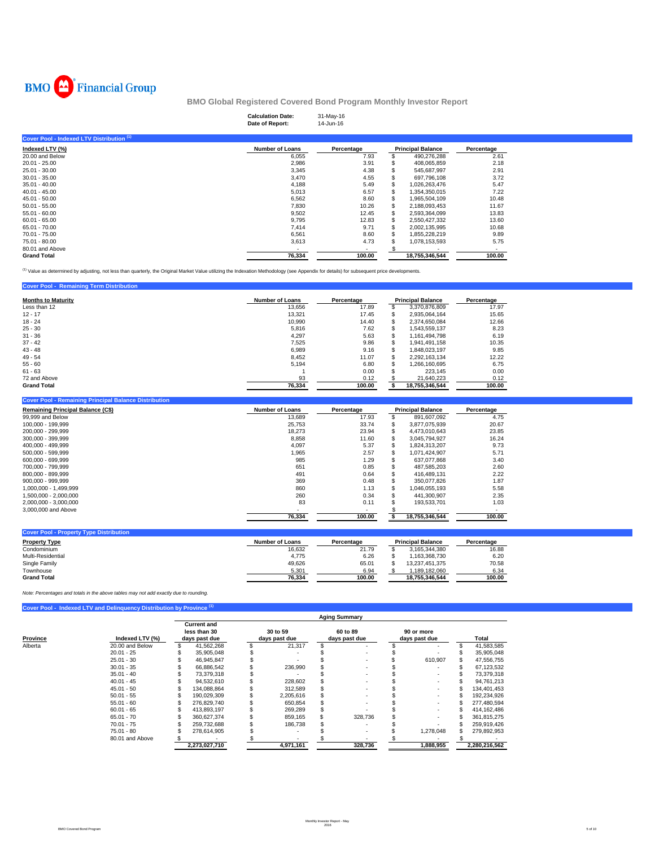

| <b>Calculation Date:</b> | 31-May-16 |
|--------------------------|-----------|
| Date of Report:          | 14-Jun-16 |

| Cover Pool - Indexed LTV Distribution <sup>(1)</sup> |                        |            |                          |            |
|------------------------------------------------------|------------------------|------------|--------------------------|------------|
| Indexed LTV (%)                                      | <b>Number of Loans</b> | Percentage | <b>Principal Balance</b> | Percentage |
| 20.00 and Below                                      | 6,055                  | 7.93       | 490,276,288              | 2.61       |
| $20.01 - 25.00$                                      | 2,986                  | 3.91       | 408,065,859              | 2.18       |
| $25.01 - 30.00$                                      | 3,345                  | 4.38       | 545.687.997              | 2.91       |
| $30.01 - 35.00$                                      | 3,470                  | 4.55       | 697,796,108              | 3.72       |
| $35.01 - 40.00$                                      | 4.188                  | 5.49       | 1.026.263.476            | 5.47       |
| $40.01 - 45.00$                                      | 5,013                  | 6.57       | 1,354,350,015            | 7.22       |
| $45.01 - 50.00$                                      | 6,562                  | 8.60       | \$<br>1,965,504,109      | 10.48      |
| $50.01 - 55.00$                                      | 7,830                  | 10.26      | \$<br>2,188,093,453      | 11.67      |
| $55.01 - 60.00$                                      | 9,502                  | 12.45      | 2,593,364,099            | 13.83      |
| $60.01 - 65.00$                                      | 9.795                  | 12.83      | 2,550,427,332            | 13.60      |
| $65.01 - 70.00$                                      | 7,414                  | 9.71       | 2,002,135,995            | 10.68      |
| 70.01 - 75.00                                        | 6,561                  | 8.60       | 1.855.228.219            | 9.89       |
| 75.01 - 80.00                                        | 3,613                  | 4.73       | 1,078,153,593            | 5.75       |
| 80.01 and Above                                      |                        |            |                          |            |
| <b>Grand Total</b>                                   | 76,334                 | 100.00     | 18.755.346.544           | 100.00     |

<sup>(1)</sup> Value as determined by adjusting, not less than quarterly, the Original Market Value utilizing the Indexation Methodology (see Appendix for details) for subsequent price developments.

## **Cover Pool - Remaining Term Distribution**

| <b>Months to Maturity</b> | <b>Number of Loans</b> | Percentage |   | <b>Principal Balance</b> | Percentage |
|---------------------------|------------------------|------------|---|--------------------------|------------|
| Less than 12              | 13.656                 | 17.89      |   | 3,370,876,809            | 17.97      |
| $12 - 17$                 | 13.321                 | 17.45      |   | 2,935,064,164            | 15.65      |
| $18 - 24$                 | 10.990                 | 14.40      | S | 2.374.650.084            | 12.66      |
| $25 - 30$                 | 5.816                  | 7.62       |   | 1,543,559,137            | 8.23       |
| $31 - 36$                 | 4,297                  | 5.63       |   | 1,161,494,798            | 6.19       |
| $37 - 42$                 | 7,525                  | 9.86       |   | 1.941.491.158            | 10.35      |
| $43 - 48$                 | 6.989                  | 9.16       |   | 1.848.023.197            | 9.85       |
| $49 - 54$                 | 8.452                  | 11.07      |   | 2.292.163.134            | 12.22      |
| $55 - 60$                 | 5.194                  | 6.80       |   | .266.160.695             | 6.75       |
| $61 - 63$                 |                        | 0.00       |   | 223.145                  | 0.00       |
| 72 and Above              | 93                     | 0.12       |   | 21.640.223               | 0.12       |
| <b>Grand Total</b>        | 76.334                 | 100.00     |   | 18.755.346.544           | 100.00     |

## **Cover Pool - Remaining Principal Balance Distribution**

| <b>Remaining Principal Balance (C\$)</b> | <b>Number of Loans</b> | Percentage |    | <b>Principal Balance</b> | Percentage |
|------------------------------------------|------------------------|------------|----|--------------------------|------------|
| 99,999 and Below                         | 13,689                 | 17.93      |    | 891,607,092              | 4.75       |
| 100.000 - 199.999                        | 25,753                 | 33.74      |    | 3,877,075,939            | 20.67      |
| 200.000 - 299.999                        | 18,273                 | 23.94      | \$ | 4.473.010.643            | 23.85      |
| 300.000 - 399.999                        | 8.858                  | 11.60      |    | 3.045.794.927            | 16.24      |
| 400.000 - 499.999                        | 4,097                  | 5.37       |    | 1,824,313,207            | 9.73       |
| 500.000 - 599.999                        | 1,965                  | 2.57       |    | 1.071.424.907            | 5.71       |
| 600.000 - 699.999                        | 985                    | 1.29       | J. | 637.077.868              | 3.40       |
| 700.000 - 799.999                        | 651                    | 0.85       |    | 487.585.203              | 2.60       |
| 800.000 - 899.999                        | 491                    | 0.64       |    | 416.489.131              | 2.22       |
| 900.000 - 999.999                        | 369                    | 0.48       |    | 350.077.826              | 1.87       |
| 1.000.000 - 1.499.999                    | 860                    | 1.13       |    | 1,046,055,193            | 5.58       |
| 1.500.000 - 2.000.000                    | 260                    | 0.34       |    | 441.300.907              | 2.35       |
| 2,000,000 - 3,000,000                    | 83                     | 0.11       |    | 193.533.701              | 1.03       |
| 3,000,000 and Above                      |                        |            |    |                          |            |
|                                          | 76,334                 | 100.00     |    | 18,755,346,544           | 100.00     |

| <b>Cover Pool - Property Type Distribution</b> |                 |            |                          |            |
|------------------------------------------------|-----------------|------------|--------------------------|------------|
| <b>Property Type</b>                           | Number of Loans | Percentage | <b>Principal Balance</b> | Percentage |
| Condominium                                    | 16.632          | 21.79      | 3.165.344.380            | 16.88      |
| Multi-Residential                              | 4,775           | 6.26       | 1.163.368.730            | 6.20       |
| Single Family                                  | 49.626          | 65.01      | 13.237.451.375           | 70.58      |
| Townhouse                                      | 5,301           | 6.94       | 1.189.182.060            | 6.34       |
| <b>Grand Total</b>                             | 76.334          | 100.00     | 18.755.346.544           | 100.00     |

*Note: Percentages and totals in the above tables may not add exactly due to rounding.*

# **Cover Pool - Indexed LTV and Delinquency Distribution by Province**

|          |                 |                                                     | <b>Aging Summary</b> |                           |           |                           |         |                             |           |  |               |  |  |  |
|----------|-----------------|-----------------------------------------------------|----------------------|---------------------------|-----------|---------------------------|---------|-----------------------------|-----------|--|---------------|--|--|--|
| Province | Indexed LTV (%) | <b>Current and</b><br>less than 30<br>days past due |                      | 30 to 59<br>days past due |           | 60 to 89<br>days past due |         | 90 or more<br>days past due |           |  | Total         |  |  |  |
| Alberta  | 20.00 and Below |                                                     | 41.562.268           |                           | 21.317    |                           |         |                             |           |  | 41,583,585    |  |  |  |
|          | $20.01 - 25$    |                                                     | 35,905,048           |                           |           |                           |         |                             |           |  | 35,905,048    |  |  |  |
|          | $25.01 - 30$    |                                                     | 46.945.847           |                           |           |                           |         |                             | 610.907   |  | 47,556,755    |  |  |  |
|          | $30.01 - 35$    |                                                     | 66.886.542           |                           | 236.990   |                           |         |                             |           |  | 67,123,532    |  |  |  |
|          | $35.01 - 40$    |                                                     | 73.379.318           |                           |           |                           |         |                             |           |  | 73.379.318    |  |  |  |
|          | $40.01 - 45$    |                                                     | 94.532.610           |                           | 228,602   |                           |         |                             |           |  | 94,761,213    |  |  |  |
|          | $45.01 - 50$    |                                                     | 134.088.864          |                           | 312.589   |                           |         |                             |           |  | 134.401.453   |  |  |  |
|          | $50.01 - 55$    |                                                     | 190,029,309          |                           | 2,205,616 |                           |         |                             |           |  | 192,234,926   |  |  |  |
|          | $55.01 - 60$    |                                                     | 276.829.740          |                           | 650.854   |                           |         |                             |           |  | 277.480.594   |  |  |  |
|          | $60.01 - 65$    |                                                     | 413.893.197          |                           | 269.289   |                           |         |                             |           |  | 414, 162, 486 |  |  |  |
|          | $65.01 - 70$    |                                                     | 360.627.374          |                           | 859,165   |                           | 328,736 |                             |           |  | 361,815,275   |  |  |  |
|          | $70.01 - 75$    |                                                     | 259.732.688          |                           | 186.738   |                           |         |                             |           |  | 259,919,426   |  |  |  |
|          | $75.01 - 80$    |                                                     | 278.614.905          |                           |           |                           |         |                             | 1,278,048 |  | 279,892,953   |  |  |  |
|          | 80.01 and Above |                                                     |                      |                           |           |                           |         |                             |           |  |               |  |  |  |
|          |                 |                                                     | 2,273,027,710        |                           | 4,971,161 |                           | 328,736 |                             | 1,888,955 |  | 2,280,216,562 |  |  |  |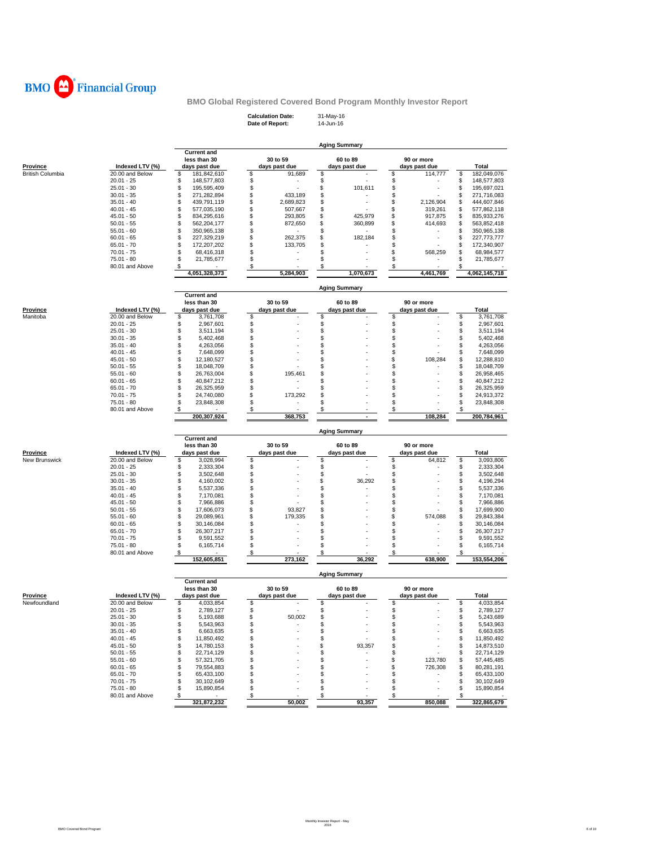

**Calculation Date:** 31-May-16 **Date of Report:** 14-Jun-16

|                                 |                                 |                                    |          |               | <b>Aging Summary</b> |           |          |               |          |                                                                                                                                                                                |
|---------------------------------|---------------------------------|------------------------------------|----------|---------------|----------------------|-----------|----------|---------------|----------|--------------------------------------------------------------------------------------------------------------------------------------------------------------------------------|
|                                 |                                 | <b>Current and</b><br>less than 30 |          | 30 to 59      | 60 to 89             |           |          | 90 or more    |          |                                                                                                                                                                                |
| Province                        | Indexed LTV (%)                 | days past due                      |          | days past due | days past due        |           |          | days past due |          | Total                                                                                                                                                                          |
| <b>British Columbia</b>         | 20.00 and Below                 | 181,842,610<br>\$                  | \$       | 91,689        | \$                   |           | \$       | 114,777       | \$       | 182,049,076                                                                                                                                                                    |
|                                 | $20.01 - 25$                    | 148,577,803<br>\$                  | \$       |               | \$                   |           | \$       |               | \$       | 148,577,803                                                                                                                                                                    |
|                                 | $25.01 - 30$                    | \$<br>195,595,409                  | \$       |               | \$                   | 101,611   | \$       |               | \$       | 195,697,021                                                                                                                                                                    |
|                                 | $30.01 - 35$                    | \$<br>271,282,894                  | \$       | 433,189       | \$                   |           | \$       |               | \$       | 271,716,083                                                                                                                                                                    |
|                                 | $35.01 - 40$                    | \$<br>439,791,119                  | \$       | 2,689,823     | \$                   | ä,        | \$       | 2,126,904     | \$       | 444,607,846                                                                                                                                                                    |
|                                 | $40.01 - 45$                    | \$<br>577,035,190                  | \$       | 507,667       | \$                   |           | \$       | 319,261       | \$       | 577,862,118                                                                                                                                                                    |
|                                 | $45.01 - 50$                    | \$<br>834,295,616                  | \$       | 293,805       | \$                   | 425,979   | \$       | 917,875       | \$       | 835,933,276                                                                                                                                                                    |
|                                 | $50.01 - 55$                    | \$<br>562,204,177                  | \$       | 872,650       | \$                   | 360,899   | \$       | 414,693       | \$       | 563,852,418                                                                                                                                                                    |
|                                 | $55.01 - 60$                    | \$<br>350,965,138                  | \$       |               | \$                   |           | \$       |               | \$       | 350,965,138                                                                                                                                                                    |
|                                 | $60.01 - 65$                    | \$<br>227,329,219                  | \$       | 262,375       | \$                   | 182,184   | \$       |               | \$       | 227,773,777                                                                                                                                                                    |
|                                 | $65.01 - 70$                    | 172,207,202<br>\$                  | \$       | 133,705       | \$                   |           | \$       |               | \$       | 172,340,907                                                                                                                                                                    |
|                                 | $70.01 - 75$                    | \$<br>68,416,318                   | \$       |               | \$                   |           | \$       | 568,259       | \$       | 68,984,577                                                                                                                                                                     |
|                                 | 75.01 - 80                      | \$<br>21,785,677                   | \$       |               | \$                   |           | \$       |               | \$       | 21,785,677                                                                                                                                                                     |
|                                 | 80.01 and Above                 | \$                                 | \$       |               | \$                   |           | \$       |               | \$       |                                                                                                                                                                                |
|                                 |                                 | 4,051,328,373                      |          | 5,284,903     |                      | 1,070,673 |          | 4,461,769     |          | 4,062,145,718                                                                                                                                                                  |
|                                 |                                 | <b>Current and</b>                 |          |               | <b>Aging Summary</b> |           |          |               |          |                                                                                                                                                                                |
|                                 |                                 | less than 30                       |          | 30 to 59      | 60 to 89             |           |          | 90 or more    |          |                                                                                                                                                                                |
| <u>Province</u>                 | Indexed LTV (%)                 | days past due                      |          | days past due | days past due        |           |          | days past due |          | Total                                                                                                                                                                          |
| Manitoba                        | 20.00 and Below                 | \$<br>3,761,708                    | \$       |               | \$                   |           | \$       |               | \$       | 3,761,708                                                                                                                                                                      |
|                                 | $20.01 - 25$                    | \$<br>2,967,601                    | \$       |               | \$                   |           | \$       |               | \$       | 2,967,601                                                                                                                                                                      |
|                                 | $25.01 - 30$                    | \$<br>3,511,194                    | \$       |               | \$                   |           | \$       |               | \$       | 3,511,194                                                                                                                                                                      |
|                                 | $30.01 - 35$<br>$35.01 - 40$    | \$<br>5,402,468<br>\$<br>4,263,056 | \$<br>\$ |               | \$<br>\$             |           | \$<br>\$ |               | \$<br>\$ | 5,402,468<br>4,263,056                                                                                                                                                         |
|                                 |                                 | \$<br>7,648,099                    | \$       |               | \$                   |           | \$       |               |          |                                                                                                                                                                                |
|                                 | $40.01 - 45$<br>$45.01 - 50$    | \$<br>12,180,527                   | \$       |               | \$                   |           | \$       | 108,284       | \$<br>\$ | 7,648,099                                                                                                                                                                      |
|                                 | $50.01 - 55$                    | \$<br>18,048,709                   | \$       |               | \$                   |           | \$       |               | \$       | 12,288,810<br>18,048,709                                                                                                                                                       |
|                                 | $55.01 - 60$                    | \$<br>26,763,004                   | \$       | 195,461       | \$                   |           | \$       |               | \$       | 26,958,465                                                                                                                                                                     |
|                                 | $60.01 - 65$                    | \$<br>40,847,212                   | \$       |               | \$                   |           | \$       |               | \$       | 40,847,212                                                                                                                                                                     |
|                                 | $65.01 - 70$                    | \$<br>26,325,959                   | \$       |               | \$                   |           | \$       |               | \$       | 26,325,959                                                                                                                                                                     |
|                                 | $70.01 - 75$                    | \$<br>24,740,080                   | \$       | 173,292       | \$                   |           | \$       |               | \$       | 24,913,372                                                                                                                                                                     |
|                                 | $75.01 - 80$                    | \$<br>23,848,308                   | \$       | ٠             | \$                   |           | \$       |               | \$       | 23,848,308                                                                                                                                                                     |
|                                 | 80.01 and Above                 | \$                                 | \$       |               | \$                   |           | \$       |               |          |                                                                                                                                                                                |
|                                 |                                 | 200,307,924                        |          | 368,753       |                      |           |          | 108,284       |          | 200,784,961                                                                                                                                                                    |
|                                 |                                 |                                    |          |               | <b>Aging Summary</b> |           |          |               |          |                                                                                                                                                                                |
|                                 |                                 | <b>Current and</b><br>less than 30 |          | 30 to 59      | 60 to 89             |           |          | 90 or more    |          |                                                                                                                                                                                |
| <u>Province</u>                 | Indexed LTV (%)                 | days past due                      |          | days past due | days past due        |           |          | days past due |          | <b>Total</b>                                                                                                                                                                   |
| New Brunswick                   | 20.00 and Below                 | \$<br>3,028,994                    | \$       |               | \$                   |           | \$       | 64,812        | \$       | 3,093,806                                                                                                                                                                      |
|                                 | $20.01 - 25$                    | \$<br>2,333,304                    | \$       |               | \$                   |           | \$       |               | \$       | 2,333,304                                                                                                                                                                      |
|                                 | $25.01 - 30$                    | \$<br>3,502,648                    | \$       |               | \$                   |           | \$       |               | \$       | 3,502,648                                                                                                                                                                      |
|                                 | $30.01 - 35$                    | \$<br>4,160,002                    | \$       |               | \$                   | 36,292    | \$       |               | \$       | 4,196,294                                                                                                                                                                      |
|                                 | $35.01 - 40$                    | \$<br>5,537,336                    | \$       |               | \$                   |           | \$       |               | \$       | 5,537,336                                                                                                                                                                      |
|                                 | $40.01 - 45$                    | \$<br>7,170,081                    | \$       |               | \$                   |           | \$       |               | \$       | 7,170,081                                                                                                                                                                      |
|                                 | $45.01 - 50$                    | \$<br>7,966,886                    | \$       |               | \$                   |           | \$       |               | \$       | 7,966,886                                                                                                                                                                      |
|                                 | $50.01 - 55$                    | \$<br>17,606,073                   | \$       | 93,827        | \$                   |           | \$       |               | \$       | 17,699,900                                                                                                                                                                     |
|                                 | $55.01 - 60$                    | \$<br>29,089,961                   | \$       | 179,335       | \$                   |           | \$       | 574,088       | \$       | 29,843,384                                                                                                                                                                     |
|                                 | $60.01 - 65$                    | \$<br>30,146,084                   | \$       |               | \$                   |           | \$       |               | \$       | 30,146,084                                                                                                                                                                     |
|                                 | $65.01 - 70$                    | \$<br>26,307,217                   | \$       |               | \$                   |           | \$       |               | \$<br>\$ | 26,307,217                                                                                                                                                                     |
|                                 |                                 | \$<br>9,591,552                    | \$       |               | \$                   |           | \$       |               |          | 9,591,552                                                                                                                                                                      |
|                                 | $70.01 - 75$                    |                                    |          |               |                      |           |          |               |          | 6,165,714                                                                                                                                                                      |
|                                 | 75.01 - 80                      | \$<br>6,165,714                    | \$       |               | \$<br>\$             |           | \$<br>\$ |               | \$       |                                                                                                                                                                                |
|                                 | 80.01 and Above                 | \$<br>152,605,851                  | s        | 273,162       |                      | 36,292    |          | 638.900       |          |                                                                                                                                                                                |
|                                 |                                 |                                    |          |               | <b>Aging Summary</b> |           |          |               |          |                                                                                                                                                                                |
|                                 |                                 | <b>Current and</b><br>less than 30 |          | 30 to 59      | 60 to 89             |           |          | 90 or more    |          |                                                                                                                                                                                |
|                                 | Indexed LTV (%)                 | days past due                      |          | days past due | days past due        |           |          | days past due |          | <b>Total</b>                                                                                                                                                                   |
|                                 | 20.00 and Below                 | \$<br>4,033,854                    | \$       |               | \$                   |           | \$       |               | \$       |                                                                                                                                                                                |
|                                 | $20.01 - 25$                    | 2.789.127<br>\$                    | \$       |               | \$                   |           | \$       |               | \$       |                                                                                                                                                                                |
|                                 | $25.01 - 30$                    | \$<br>5,193,688                    | \$       | 50,002        | \$                   |           | \$       |               | \$       |                                                                                                                                                                                |
|                                 | $30.01 - 35$                    | \$<br>5,543,963                    | \$       |               | \$                   |           | \$       |               | \$       |                                                                                                                                                                                |
|                                 | $35.01 - 40$                    | 6,663,635<br>\$                    | \$       |               | \$                   |           | \$       |               | \$       |                                                                                                                                                                                |
|                                 | $40.01 - 45$                    | \$<br>11,850,492                   | \$       |               | \$                   |           | \$       |               | \$       |                                                                                                                                                                                |
|                                 | $45.01 - 50$                    | \$<br>14,780,153                   | \$       |               | \$                   | 93,357    | \$       |               | \$       |                                                                                                                                                                                |
|                                 | $50.01 - 55$                    | 22,714,129<br>\$                   | \$       |               | \$                   |           | \$       |               | \$       |                                                                                                                                                                                |
|                                 | $55.01 - 60$                    | \$<br>57,321,705                   | \$       |               | \$                   |           | \$       | 123,780       | \$       |                                                                                                                                                                                |
|                                 | $60.01 - 65$                    | 79,554,883<br>\$                   | \$       |               | \$                   |           | \$       | 726,308       | \$       |                                                                                                                                                                                |
|                                 | $65.01 - 70$                    | \$<br>65,433,100                   | \$       |               | \$                   |           | \$       |               | \$       |                                                                                                                                                                                |
|                                 | $70.01 - 75$                    | 30,102,649<br>\$                   | \$       |               | \$                   |           | \$       |               | \$       | 153,554,206<br>4,033,854<br>2.789.127<br>5,243,689<br>5,543,963<br>6,663,635<br>11,850,492<br>14,873,510<br>22,714,129<br>57,445,485<br>80,281,191<br>65,433,100<br>30,102,649 |
| <b>Province</b><br>Newfoundland | $75.01 - 80$<br>80.01 and Above | \$<br>15,890,854<br>\$             | \$<br>\$ |               | \$<br>\$             |           | \$<br>\$ |               | \$<br>\$ | 15,890,854                                                                                                                                                                     |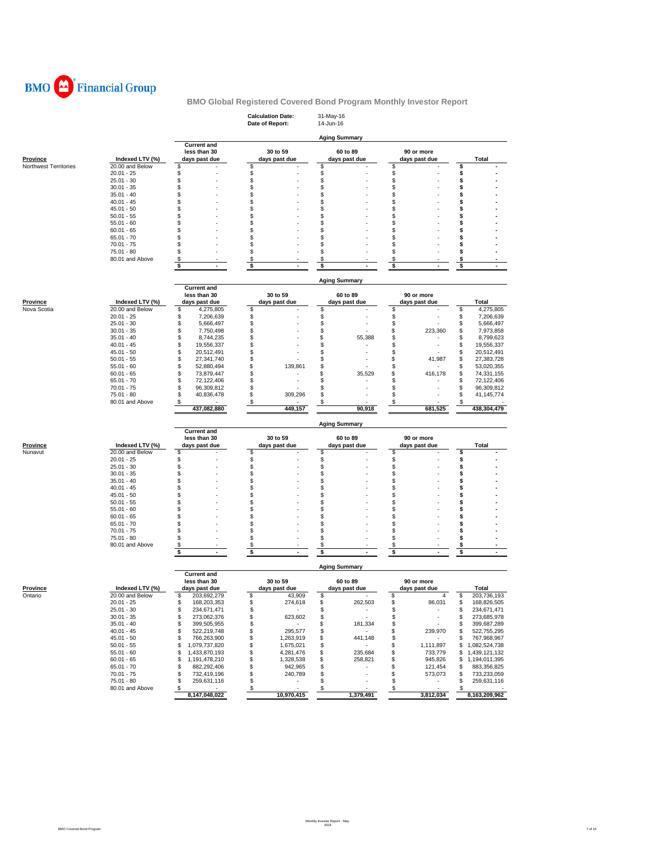

|                       |                              |                                                     | <b>Calculation Date:</b><br>Date of Report: | 31-May-16<br>14-Jun-16    |                                |                                        |
|-----------------------|------------------------------|-----------------------------------------------------|---------------------------------------------|---------------------------|--------------------------------|----------------------------------------|
|                       |                              |                                                     |                                             | <b>Aging Summary</b>      |                                |                                        |
| <b>Province</b>       | Indexed LTV (%)              | <b>Current and</b><br>less than 30<br>days past due | 30 to 59<br>days past due                   | 60 to 89<br>days past due | 90 or more<br>days past due    | Total                                  |
| Northwest Territories | 20.00 and Below              | \$                                                  | \$                                          | \$                        | \$                             | \$                                     |
|                       | $20.01 - 25$                 | \$                                                  | \$                                          | \$                        | \$                             | \$                                     |
|                       | $25.01 - 30$<br>$30.01 - 35$ | \$<br>\$                                            | \$<br>\$                                    | \$<br>\$                  | \$<br>\$                       | \$<br>\$                               |
|                       | $35.01 - 40$                 | \$                                                  | \$                                          | \$                        | \$                             | \$                                     |
|                       | $40.01 - 45$                 | \$                                                  | \$                                          | \$                        | \$                             | \$                                     |
|                       | $45.01 - 50$                 | \$                                                  | \$                                          | \$                        | \$                             | \$                                     |
|                       | $50.01 - 55$                 | \$                                                  | \$                                          | \$                        | \$                             | \$                                     |
|                       | $55.01 - 60$                 | \$                                                  | \$                                          | \$                        | \$                             | \$                                     |
|                       | $60.01 - 65$                 | \$<br>\$                                            | \$<br>\$                                    | \$<br>\$                  | \$<br>\$                       | S<br>\$                                |
|                       | $65.01 - 70$<br>$70.01 - 75$ | \$                                                  | \$                                          | \$                        | \$                             | \$                                     |
|                       | 75.01 - 80                   | \$                                                  | \$                                          | \$                        | \$                             | \$                                     |
|                       | 80.01 and Above              | \$                                                  | \$                                          | \$                        | \$                             | s                                      |
|                       |                              | \$                                                  | \$                                          | \$                        | \$                             | \$                                     |
|                       |                              |                                                     |                                             | <b>Aging Summary</b>      |                                |                                        |
|                       |                              | <b>Current and</b><br>less than 30                  | 30 to 59                                    | 60 to 89                  | 90 or more                     |                                        |
| <b>Province</b>       | Indexed LTV (%)              | days past due                                       | days past due                               | days past due             | days past due                  | Total                                  |
| Nova Scotia           | 20.00 and Below              | \$<br>4,275,805                                     | \$                                          | \$                        | \$                             | \$<br>4,275,805                        |
|                       | $20.01 - 25$                 | \$<br>7,206,639                                     | \$                                          | \$                        | \$                             | 7,206,639<br>\$                        |
|                       | $25.01 - 30$                 | \$<br>5,666,497                                     | \$                                          | \$                        | \$                             | 5,666,497<br>\$                        |
|                       | $30.01 - 35$                 | \$<br>7,750,498                                     | \$                                          | \$                        | \$<br>223,360                  | \$<br>7,973,858                        |
|                       | $35.01 - 40$                 | \$<br>8,744,235                                     | \$                                          | \$<br>55,388              | \$                             | 8,799,623<br>\$                        |
|                       | $40.01 - 45$<br>$45.01 - 50$ | \$<br>19,556,337<br>\$                              | \$<br>\$                                    | \$                        | \$                             | 19,556,337<br>\$<br>\$                 |
|                       | $50.01 - 55$                 | 20,512,491<br>\$<br>27,341,740                      | \$                                          | \$<br>\$                  | \$<br>\$<br>41,987             | 20,512,491<br>\$<br>27,383,728         |
|                       | $55.01 - 60$                 | \$<br>52,880,494                                    | \$<br>139,861                               | \$                        | \$                             | S<br>53,020,355                        |
|                       | $60.01 - 65$                 | \$<br>73,879,447                                    | \$                                          | \$<br>35,529              | \$<br>416,178                  | 74,331,155<br>\$                       |
|                       | $65.01 - 70$                 | \$<br>72,122,406                                    | \$                                          | \$                        | \$                             | S<br>72,122,406                        |
|                       | $70.01 - 75$                 | \$<br>96,309,812                                    | \$                                          | \$                        | \$                             | 96,309,812<br>\$                       |
|                       | 75.01 - 80                   | \$<br>40,836,478                                    | \$<br>309,296                               | \$                        | \$                             | 41, 145, 774<br>\$                     |
|                       | 80.01 and Above              | \$<br>437,082,880                                   | \$<br>449,157                               | \$<br>90,918              | \$<br>681,525                  | \$<br>438,304,479                      |
|                       |                              |                                                     |                                             |                           |                                |                                        |
|                       |                              |                                                     |                                             |                           |                                |                                        |
|                       |                              | <b>Current and</b>                                  |                                             | <b>Aging Summary</b>      |                                |                                        |
|                       |                              | less than 30                                        | 30 to 59                                    | 60 to 89                  | 90 or more                     |                                        |
| <b>Province</b>       | Indexed LTV (%)              | days past due                                       | days past due                               | days past due             | days past due                  | Total                                  |
| Nunavut               | 20.00 and Below              | \$                                                  | \$                                          | \$                        | \$                             | \$                                     |
|                       | $20.01 - 25$                 | \$                                                  | \$                                          | \$                        | \$                             | \$                                     |
|                       | $25.01 - 30$                 | \$                                                  | \$                                          | \$                        | \$                             | \$                                     |
|                       | $30.01 - 35$<br>$35.01 - 40$ | \$<br>\$                                            | \$<br>\$                                    | \$<br>\$                  | \$<br>\$                       | \$<br>\$                               |
|                       | $40.01 - 45$                 | \$                                                  | \$                                          | \$                        | \$                             | \$                                     |
|                       | $45.01 - 50$                 | \$                                                  | \$                                          | S                         | \$                             | \$                                     |
|                       | $50.01 - 55$                 | \$                                                  | \$                                          | \$                        | \$                             | \$                                     |
|                       | $55.01 - 60$                 | \$                                                  | \$                                          | \$                        | \$                             | \$                                     |
|                       | $60.01 - 65$                 | \$                                                  | \$                                          | \$                        | \$                             | \$                                     |
|                       | $65.01 - 70$<br>$70.01 - 75$ | \$<br>\$                                            | \$<br>\$                                    | \$<br>\$                  | \$<br>\$                       | \$<br>\$                               |
|                       | 75.01 - 80                   | \$                                                  | \$                                          | \$                        | \$                             | s                                      |
|                       | 80.01 and Above              | \$                                                  | \$                                          | \$                        | \$                             | \$                                     |
|                       |                              | \$<br>$\blacksquare$                                | \$<br>$\blacksquare$                        | \$                        | \$                             | \$<br>$\sim$                           |
|                       |                              | <b>Current and</b>                                  |                                             | Aging Summary             |                                |                                        |
|                       |                              | less than 30                                        | 30 to 59                                    | 60 to 89                  | 90 or more                     |                                        |
| Province              | Indexed LTV (%)              | davs past due                                       | days past due                               | days past due             | davs past due                  | Total                                  |
| Ontario               | 20.00 and Below              | \$<br>203,692,279                                   | \$<br>43,909                                | \$                        | \$<br>4                        | \$<br>203,736,193                      |
|                       | $20.01 - 25$                 | \$<br>168,203,353                                   | \$<br>274,618<br>$\sim$                     | \$<br>262,503<br>٠        | \$<br>86,031                   | \$<br>168,826,505                      |
|                       | $25.01 - 30$<br>$30.01 - 35$ | \$<br>234,671,471<br>\$<br>273,062,376              | \$<br>\$<br>623,602                         | \$<br>\$<br>×.            | \$<br>\$<br>٠                  | 234,671,471<br>\$<br>273,685,978<br>\$ |
|                       | $35.01 - 40$                 | \$<br>399,505,955                                   | \$<br>$\sim$                                | \$<br>181,334             | \$                             | \$<br>399,687,289                      |
|                       | $40.01 - 45$                 | \$<br>522,219,748                                   | \$<br>295,577                               | \$<br>$\sim$              | \$<br>239,970                  | 522,755,295<br>\$                      |
|                       | $45.01 - 50$                 | \$<br>766,263,900                                   | \$<br>1,263,919                             | \$<br>441,148             | \$                             | 767,968,967<br>\$                      |
|                       | $50.01 - 55$                 | \$<br>1,079,737,820                                 | \$<br>1,675,021                             | \$<br>$\sim$              | \$<br>1,111,897                | \$<br>1,082,524,738                    |
|                       | $55.01 - 60$                 | \$<br>1,433,870,193                                 | \$<br>4,281,476                             | \$<br>235,684             | \$<br>733,779                  | 1,439,121,132<br>\$                    |
|                       | $60.01 - 65$                 | \$<br>1,191,478,210                                 | \$<br>1,328,538                             | \$<br>258,821             | \$<br>945,826                  | 1,194,011,395<br>\$                    |
|                       | $65.01 - 70$<br>$70.01 - 75$ | \$<br>882,292,406<br>\$<br>732,419,196              | \$<br>942,965<br>\$<br>240,789              | \$<br>\$                  | \$<br>121,454<br>\$<br>573,073 | 883,356,825<br>\$<br>733,233,059<br>\$ |
|                       | 75.01 - 80                   | \$<br>259,631,116                                   | \$<br>٠                                     | \$                        | \$<br>$\sim$                   | 259,631,116<br>\$                      |
|                       | 80.01 and Above              | \$<br>8,147,048,022                                 | $\frac{1}{2}$<br>10,970,415                 | \$<br>1,379,491           | \$<br>3,812,034                | 8,163,209,962                          |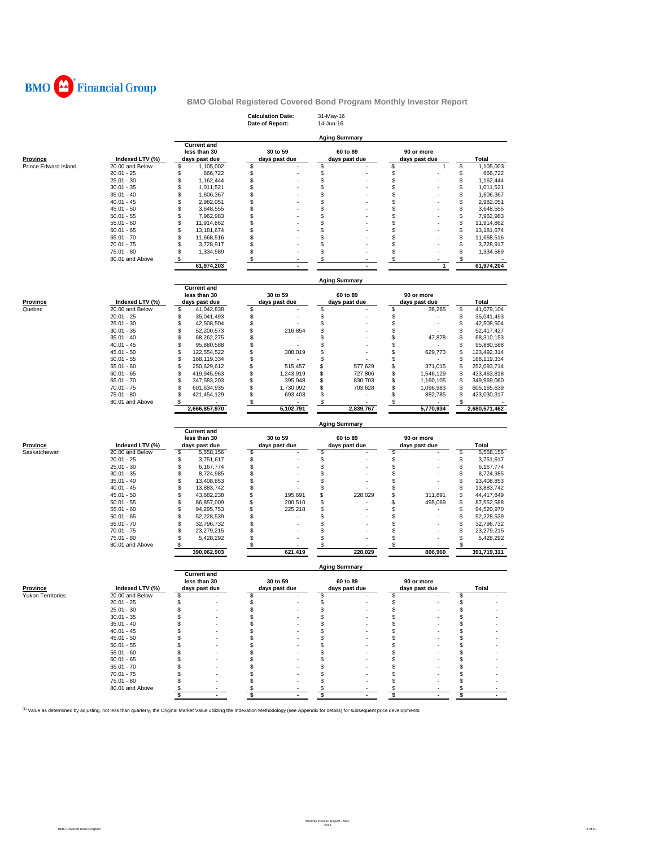

|                             |                                 |                                                     | <b>Calculation Date:</b><br>Date of Report: | 31-May-16<br>14-Jun-16    |                             |                                        |
|-----------------------------|---------------------------------|-----------------------------------------------------|---------------------------------------------|---------------------------|-----------------------------|----------------------------------------|
|                             |                                 |                                                     |                                             | <b>Aging Summary</b>      |                             |                                        |
| <b>Province</b>             | Indexed LTV (%)                 | <b>Current and</b><br>less than 30<br>days past due | 30 to 59<br>days past due                   | 60 to 89<br>days past due | 90 or more<br>days past due | <b>Total</b>                           |
| <b>Prince Edward Island</b> | 20.00 and Below                 | \$<br>1.105.002                                     | \$                                          | \$                        | \$<br>1                     | \$<br>1,105,003                        |
|                             | $20.01 - 25$<br>$25.01 - 30$    | \$<br>666,722<br>\$<br>1,162,444                    | \$<br>\$                                    | \$<br>\$                  | \$<br>\$                    | \$<br>666,722<br>\$<br>1,162,444       |
|                             | $30.01 - 35$                    | \$<br>1,011,521                                     | \$                                          | \$                        | \$                          | \$<br>1,011,521                        |
|                             | $35.01 - 40$                    | \$<br>1,606,367                                     | \$                                          | \$                        | \$                          | \$<br>1,606,367                        |
|                             | $40.01 - 45$                    | \$<br>2,982,051                                     | \$                                          | \$                        | \$                          | \$<br>2,982,051                        |
|                             | $45.01 - 50$                    | \$<br>3,648,555                                     | \$                                          | \$                        | \$                          | \$<br>3,648,555                        |
|                             | $50.01 - 55$                    | \$<br>7,962,983                                     | \$                                          | \$                        | \$                          | \$<br>7,962,983                        |
|                             | $55.01 - 60$                    | \$<br>11,914,862                                    | \$                                          | \$                        | \$                          | \$<br>11,914,862                       |
|                             | $60.01 - 65$<br>$65.01 - 70$    | \$<br>13, 181, 674<br>\$                            | \$<br>\$                                    | \$<br>\$                  | \$<br>\$                    | \$<br>13, 181, 674<br>\$               |
|                             | 70.01 - 75                      | 11,668,516<br>\$<br>3,728,917                       | \$                                          | \$                        | \$                          | 11,668,516<br>\$<br>3,728,917          |
|                             | 75.01 - 80                      | \$<br>1,334,589                                     | \$                                          | \$                        | \$                          | \$<br>1,334,589                        |
|                             | 80.01 and Above                 | \$                                                  | \$                                          | \$                        | \$                          | \$                                     |
|                             |                                 | 61,974,203                                          |                                             |                           | 1                           | 61,974,204                             |
|                             |                                 | <b>Current and</b>                                  |                                             | <b>Aging Summary</b>      |                             |                                        |
|                             |                                 | less than 30                                        | 30 to 59                                    | 60 to 89                  | 90 or more                  |                                        |
| <b>Province</b>             | Indexed LTV (%)                 | days past due                                       | days past due                               | days past due             | days past due               | Total                                  |
| Quebec                      | 20.00 and Below                 | \$<br>41,042,838                                    | \$                                          | \$                        | \$<br>36,265                | \$<br>41,079,104                       |
|                             | $20.01 - 25$                    | \$<br>35,041,493                                    | \$                                          | \$                        | \$                          | \$<br>35,041,493                       |
|                             | $25.01 - 30$                    | \$<br>42,508,504                                    | \$                                          | \$                        | \$                          | \$<br>42,508,504                       |
|                             | $30.01 - 35$                    | \$<br>52,200,573<br>\$                              | \$<br>216,854                               | \$                        | \$                          | \$<br>52,417,427                       |
|                             | $35.01 - 40$<br>$40.01 - 45$    | 68,262,275<br>\$<br>95,880,588                      | \$<br>\$                                    | \$<br>\$                  | \$<br>47,878<br>\$          | \$<br>68,310,153<br>\$<br>95,880,588   |
|                             | $45.01 - 50$                    | \$<br>122,554,522                                   | \$<br>308,019                               | \$                        | 629,773<br>\$               | \$<br>123,492,314                      |
|                             | $50.01 - 55$                    | \$<br>168,119,334                                   | \$                                          | \$                        | \$                          | \$<br>168,119,334                      |
|                             | $55.01 - 60$                    | \$<br>250,629,612                                   | \$<br>515,457                               | \$<br>577,629             | \$<br>371,015               | \$<br>252,093,714                      |
|                             | $60.01 - 65$                    | \$<br>419,945,963                                   | \$<br>1,243,919                             | \$<br>727,806             | \$<br>1,546,129             | 423,463,818<br>\$                      |
|                             | 65.01 - 70                      | \$<br>347,583,203                                   | \$<br>395,048                               | \$<br>830,703             | \$<br>1,160,105             | \$<br>349,969,060                      |
|                             | $70.01 - 75$<br>75.01 - 80      | \$<br>601,634,935<br>\$<br>421,454,129              | \$<br>1,730,092<br>\$<br>693,403            | \$<br>703,628<br>\$<br>٠  | \$<br>1,096,983<br>\$       | \$<br>605,165,639<br>\$<br>423,030,317 |
|                             | 80.01 and Above                 | \$                                                  | \$                                          | \$                        | 882,785<br>\$               | \$                                     |
|                             |                                 | 2,666,857,970                                       | 5,102,791                                   | 2,839,767                 | 5,770,934                   | 2,680,571,462                          |
|                             |                                 |                                                     |                                             | <b>Aging Summary</b>      |                             |                                        |
|                             |                                 | <b>Current and</b><br>less than 30                  | 30 to 59                                    | 60 to 89                  | 90 or more                  |                                        |
| <b>Province</b>             | Indexed LTV (%)                 | days past due                                       | days past due                               | days past due             | days past due               | Total                                  |
| Saskatchewan                | 20.00 and Below                 | \$<br>5,558,156                                     | \$                                          | \$                        | \$                          | \$<br>5,558,156                        |
|                             | $20.01 - 25$                    | \$<br>3,751,617                                     | \$                                          | \$                        | \$                          | \$<br>3,751,617                        |
|                             | $25.01 - 30$                    | \$<br>6,167,774                                     | \$                                          | \$                        | \$                          | \$<br>6,167,774                        |
|                             | $30.01 - 35$                    | \$<br>8,724,985                                     | \$                                          | \$                        | \$                          | \$<br>8,724,985                        |
|                             | $35.01 - 40$<br>$40.01 - 45$    | \$<br>13,408,853<br>\$                              | \$<br>\$                                    | \$<br>\$                  | \$<br>\$                    | \$<br>13,408,853<br>\$<br>13,883,742   |
|                             | $45.01 - 50$                    | 13,883,742<br>\$<br>43,682,238                      | \$<br>195,691                               | \$<br>228,029             | \$<br>311,891               | \$<br>44,417,849                       |
|                             | $50.01 - 55$                    | \$<br>86,857,009                                    | \$<br>200,510                               | \$                        | 495,069<br>\$               | \$<br>87,552,588                       |
|                             | $55.01 - 60$                    | \$<br>94,295,753                                    | \$<br>225,218                               | \$                        | \$                          | \$<br>94,520,970                       |
|                             | $60.01 - 65$                    | \$<br>52,228,539                                    | \$                                          | \$                        | \$                          | \$<br>52,228,539                       |
|                             | 65.01 - 70                      | \$<br>32,796,732                                    | \$                                          | \$                        | \$                          | \$<br>32,796,732                       |
|                             | $70.01 - 75$                    | \$<br>23,279,215                                    | \$                                          | \$                        | \$                          | \$<br>23,279,215                       |
|                             | $75.01 - 80$<br>80.01 and Above | \$<br>5,428,292<br>\$                               | \$<br>\$                                    | \$<br>\$                  | \$<br>\$                    | \$<br>5,428,292<br>\$                  |
|                             |                                 | 390,062,903                                         | 621,419                                     | 228,029                   | 806,960                     | 391,719,311                            |
|                             |                                 | <b>Current and</b>                                  |                                             | <b>Aging Summary</b>      |                             |                                        |
|                             |                                 | less than 30                                        | 30 to 59                                    | 60 to 89                  | 90 or more                  |                                        |
| <b>Province</b>             | Indexed LTV (%)                 | days past due                                       | days past due                               | days past due             | days past due               | Total                                  |
| <b>Yukon Territories</b>    | 20.00 and Below                 | \$                                                  | \$                                          | S                         | S                           | S                                      |
|                             | $20.01 - 25$                    | \$                                                  | \$                                          | \$                        | \$                          | \$                                     |
|                             | $25.01 - 30$<br>$30.01 - 35$    | \$<br>\$                                            | \$<br>\$                                    | \$<br>\$                  | \$<br>\$                    | \$<br>\$                               |
|                             | $35.01 - 40$                    | \$                                                  | \$                                          | \$                        | \$                          | \$                                     |
|                             | $40.01 - 45$                    | \$                                                  | \$                                          | \$                        | \$                          | \$                                     |
|                             | $45.01 - 50$                    | \$                                                  | \$                                          | \$                        | \$                          | \$                                     |
|                             | $50.01 - 55$                    | \$                                                  | \$                                          | \$                        | \$                          | S                                      |
|                             | $55.01 - 60$                    | \$                                                  | \$                                          | \$                        | \$                          | \$                                     |
|                             | $60.01 - 65$                    | \$                                                  | \$                                          | \$                        | \$                          | S                                      |
|                             | $65.01 - 70$                    | \$                                                  | \$                                          | \$                        | \$                          | \$                                     |
|                             | $70.01 - 75$                    | \$                                                  | \$                                          | \$                        | \$.                         | \$                                     |
|                             | 75.01 - 80<br>80.01 and Above   | \$<br>\$                                            | \$<br>\$                                    | \$<br>\$                  | \$<br>\$                    | \$<br>\$                               |
|                             |                                 | \$<br>÷                                             | \$<br>$\ddot{\phantom{1}}$                  | \$<br>$\overline{a}$      | \$<br>٠                     | \$                                     |
|                             |                                 |                                                     |                                             |                           |                             |                                        |

<sup>(1)</sup> Value as determined by adjusting, not less than quarterly, the Original Market Value utilizing the Indexation Methodology (see Appendix for details) for subsequent price developments.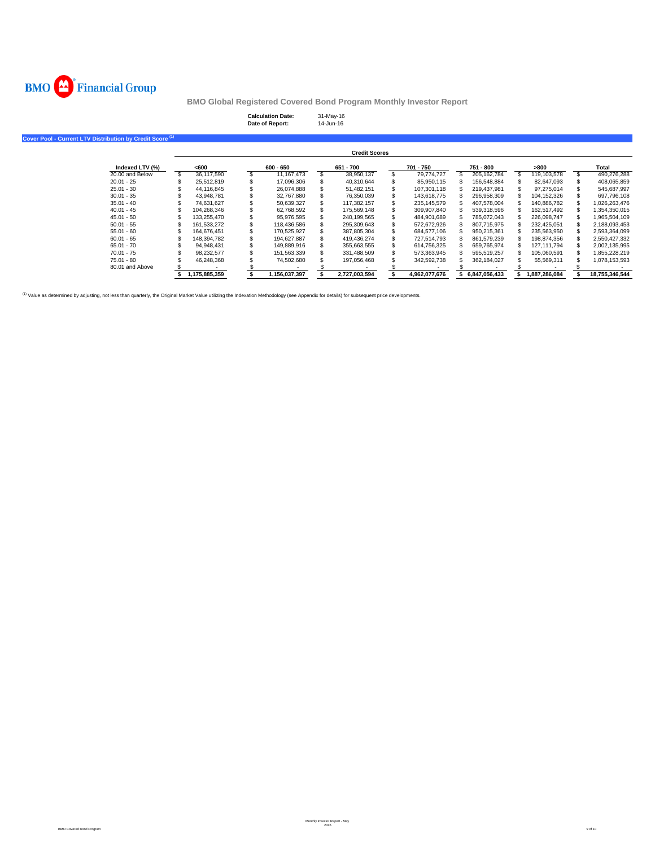

| <b>Calculation Date:</b> | 31-May-16 |
|--------------------------|-----------|
| Date of Report:          | 14-Jun-16 |

| Cover Pool - Current LTV Distribution by Credit Score <sup>(1)</sup> |               |               |                      |                  |               |               |                |
|----------------------------------------------------------------------|---------------|---------------|----------------------|------------------|---------------|---------------|----------------|
|                                                                      |               |               | <b>Credit Scores</b> |                  |               |               |                |
| Indexed LTV (%)                                                      | <600          | $600 - 650$   | 651 - 700            | 701 - 750        | 751 - 800     | >800          | Total          |
| 20.00 and Below                                                      | 36,117,590    | 11, 167, 473  | 38,950,137           | \$<br>79,774,727 | 205, 162, 784 | 119,103,578   | 490,276,288    |
| $20.01 - 25$                                                         | 25.512.819    | 17,096,306    | 40,310,644           | 85,950,115       | 156,548,884   | 82,647,093    | 408,065,859    |
| $25.01 - 30$                                                         | 44.116.845    | 26.074.888    | 51,482,151           | 107,301,118      | 219,437,981   | 97.275.014    | 545,687,997    |
| $30.01 - 35$                                                         | 43.948.781    | 32,767,880    | 76,350,039           | 143,618,775      | 296,958,309   | 104,152,326   | 697,796,108    |
| $35.01 - 40$                                                         | 74.631.627    | 50,639,327    | 117.382.157          | 235, 145, 579    | 407,578,004   | 140,886,782   | 1,026,263,476  |
| $40.01 - 45$                                                         | 104,268,346   | 62,768,592    | 175,569,148          | 309,907,840      | 539,318,596   | 162,517,492   | 1,354,350,015  |
| $45.01 - 50$                                                         | 133.255.470   | 95.976.595    | 240.199.565          | 484,901,689      | 785,072,043   | 226.098.747   | 1,965,504,109  |
| $50.01 - 55$                                                         | 161,533,272   | 118,436,586   | 295,309,643          | 572,672,926      | 807,715,975   | 232,425,051   | 2,188,093,453  |
| $55.01 - 60$                                                         | 164.676.451   | 170,525,927   | 387,805,304          | 684,577,106      | 950,215,361   | 235,563,950   | 2,593,364,099  |
| $60.01 - 65$                                                         | 148,394,782   | 194,627,887   | 419,436,274          | 727,514,793      | 861,579,239   | 198,874,356   | 2,550,427,332  |
| $65.01 - 70$                                                         | 94.948.431    | 149.889.916   | 355,663,555          | 614,756,325      | 659.765.974   | 127.111.794   | 2,002,135,995  |
| 70.01 - 75                                                           | 98,232,577    | 151,563,339   | 331,488,509          | 573,363,945      | 595,519,257   | 105,060,591   | 1,855,228,219  |
| $75.01 - 80$                                                         | 46,248,368    | 74,502,680    | 197,056,468          | 342,592,738      | 362,184,027   | 55,569,311    | 1,078,153,593  |
| 80.01 and Above                                                      |               |               |                      |                  |               |               |                |
|                                                                      | 1,175,885,359 | 1,156,037,397 | 2,727,003,594        | 4.962.077.676    | 6.847.056.433 | 1,887,286,084 | 18,755,346,544 |

<sup>(1)</sup> Value as determined by adjusting, not less than quarterly, the Original Market Value utilizing the Indexation Methodology (see Appendix for details) for subsequent price developments.